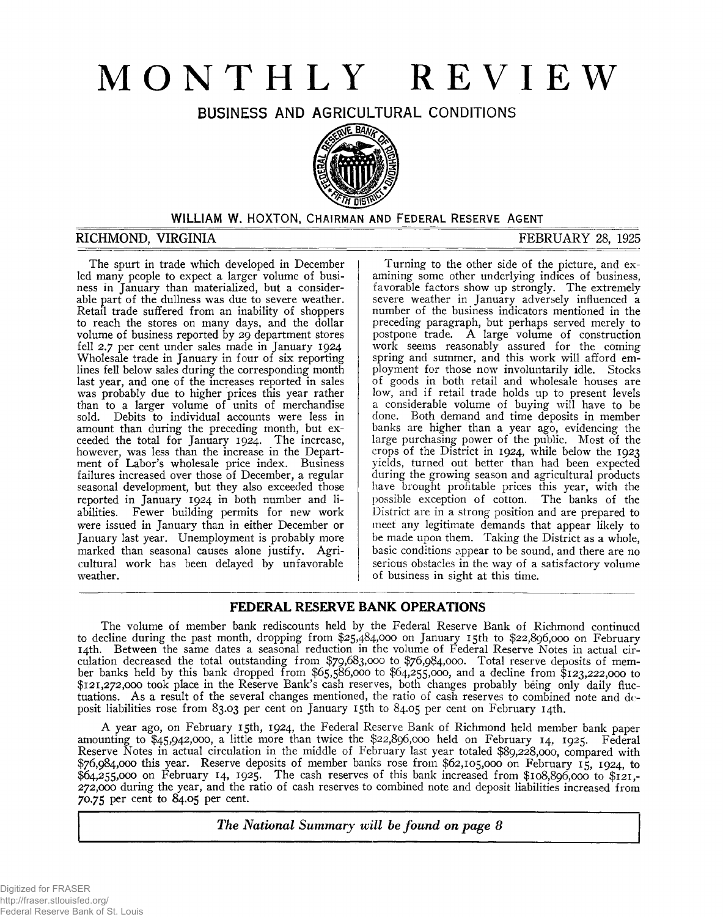# **MONTHLY REVIEW**

BUSINESS AND AGRICULTURAL CONDITIONS



#### WILLIAM W. HOXTON, CHAIRMAN AND FEDERAL RESERVE AGENT

#### **RICHMOND, VIRGINIA FEBRUARY 28, 1925**

The spurt in trade which developed in December led many people to expect a larger volume of business in January than materialized, but a considerable part of the dullness was due to severe weather. Retail trade suffered from an inability of shoppers to reach the stores on many days, and the dollar volume of business reported by 29 department stores fell 2.7 per cent under sales made in January 1924 Wholesale trade in January in four of six reporting lines fell below sales during the corresponding month last year, and one of the increases reported in sales was probably due to higher prices this year rather than to a larger volume of units of merchandise sold. Debits to individual accounts were less in amount than during the preceding month, but exceeded the total for January 1924. The increase, however, was less than the increase in the Department of Labor's wholesale price index. Business failures increased over those of December, a regular seasonal development, but they also exceeded those reported in January 1924 in both number and liabilities. Fewer building permits for new work were issued in January than in either December or January last year. Unemployment is probably more marked than seasonal causes alone justify. Agricultural work has been delayed by unfavorable weather.

Turning to the other side of the picture, and examining some other underlying indices of business, favorable factors show up strongly. The extremely severe weather in January adversely influenced a number of the business indicators mentioned in the preceding paragraph, but perhaps served merely to postpone trade. A large volume of construction work seems reasonably assured for the coming spring and summer, and this work will afford employment for those now involuntarily idle. Stocks of goods in both retail and wholesale houses are low, and if retail trade holds up to present levels a considerable volume of buying will have to be done. Both demand and time deposits in member banks are higher than a year ago, evidencing the large purchasing power of the public. Most of the crops of the District in 1924, while below the 1923 yields, turned out better than had been expected during the growing season and agricultural products have brought profitable prices this year, with the possible exception of cotton. The banks of the District are in a strong position and are prepared to meet any legitimate demands that appear likely to be made upon them. Taking the District as a whole, basic conditions appear to be sound, and there are no serious obstacles in the way of a satisfactory volume of business in sight at this time.

# **FEDERAL RESERVE BANK OPERATIONS**

The volume of member bank rediscounts held by the Federal Reserve Bank of Richmond continued to decline during the past month, dropping from \$25,484,000 on January 15th to \$22,896,000 on February 14th. Between the same dates a seasonal reduction in the volume of Federal Reserve Notes in actual circulation decreased the total outstanding from \$79,683,000 to \$76,984,000. Total reserve deposits of member banks held by this bank dropped from \$65,586,000 to \$64,255,000, and a decline from \$123,222,000 to \$121,272,000 took place in the Reserve Bank's cash reserves, both changes probably being only daily fluctuations. As a result of the several changes mentioned, the ratio of cash reserves to combined note and deposit liabilities rose from 83.03 per cent on January 15th to 84.05 per cent on February 14th.

A year ago, on February 15th, 1924, the Federal Reserve Bank of Richmond held member bank paper amounting to \$45,942,000, a little more than twice the \$22,896,000 held on February 14, 1925. Federal Reserve Notes in actual circulation in the middle of February last year totaled \$89,228,000, compared with \$76,984,000 this year. Reserve deposits of member banks rose from \$62,105,000 on February 15, 1924, to \$64,255,000 on February 14, 1925. The cash reserves of this bank increased from \$108,896,000 to \$121,- 272,000 during the year, and the ratio of cash reserves to combined note and deposit liabilities increased from 70.75 per cent to 84.05 per cent.

*The National Summary will be found on page 8*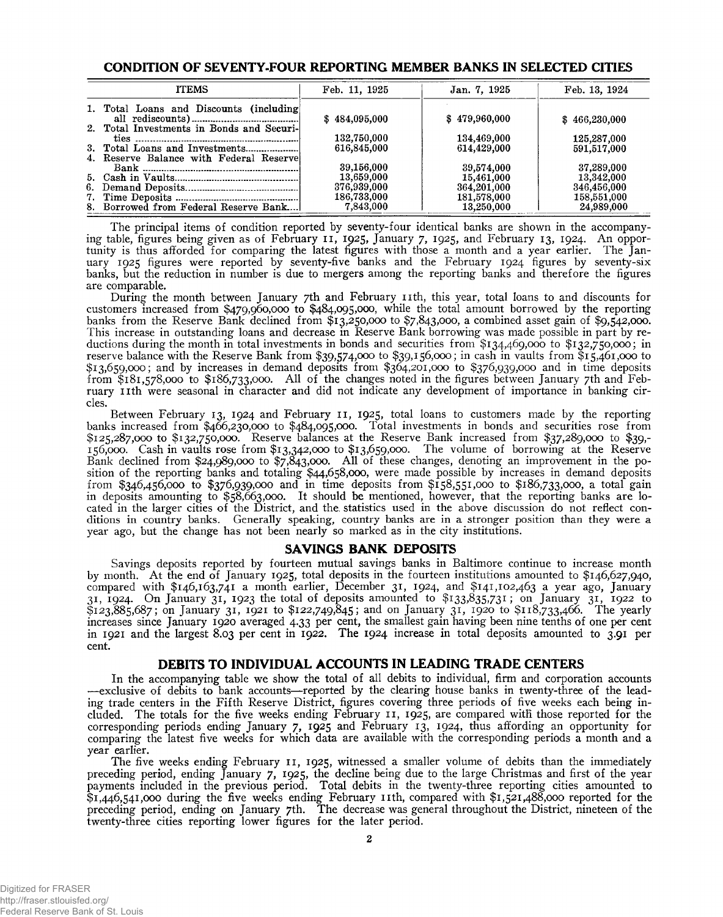#### **CONDITION OF SEVENTY-FOUR REPORTING MEMBER BANKS IN SELECTED CITIES**

| <b>ITEMS</b>                              | Feb. 11, 1925 | Jan. 7, 1925  | Feb. 13, 1924 |
|-------------------------------------------|---------------|---------------|---------------|
| 1. Total Loans and Discounts (including)  | \$484,095,000 | \$479,960,000 | \$466,230,000 |
| 2. Total Investments in Bonds and Securi- |               |               |               |
|                                           | 132,750,000   | 134,469,000   | 125,287,000   |
|                                           | 616,845,000   | 614,429,000   | 591,517,000   |
| 4. Reserve Balance with Federal Reserve   |               |               |               |
|                                           | 39,156,000    | 39,574,000    | 37,289,000    |
|                                           | 13,659,000    | 15,461,000    | 13,342,000    |
|                                           | 376,939,000   | 364,201,000   | 346,456,000   |
|                                           | 186,733,000   | 181,578,000   | 158,551,000   |
| 8. Borrowed from Federal Reserve Bank     | 7,843,000     | 13,250,000    | 24,989,000    |

The principal items of condition reported by seventy-four identical banks are shown in the accompanying table, figures being given as of February 11, 1925, January 7, 1925, and February 13, 1924. An opportunity is thus afforded for comparing the latest figures with those a month and a year earlier. The January 1925 figures were reported by seventy-five banks and the February 1924 figures by seventy-six banks, but the reduction in number is due to mergers among the reporting banks and therefore the figures are comparable.

During the month between January 7th and February nth, this year, total loans to and discounts for customers increased from \$479,960,000 to \$484,095,000, while the total amount borrowed by the reporting banks from the Reserve Bank declined from \$13,250,000 to \$7,843,000, a combined asset gain of \$9,542,000. This increase in outstanding loans and decrease in Reserve Bank borrowing was made possible in part by reductions during the month in total investments in bonds and securities from  $\frac{1}{3}134,469,000$  to  $\frac{1}{3}132,750,000$ ; in reserve balance with the Reserve Bank from \$39,574,000 to \$39,156,000; in cash in vaults from \$15,461,000 to \$13,659,000; and by increases in demand deposits from \$364,201,000 to \$376,939,000 and in time deposits from \$181,578,000 to \$186,733,000. All of the changes noted in the figures between January 7th and February nth were seasonal in character and did not indicate any development of importance in banking circles.

Between February 13, 1924 and February 11, 1925, total loans to customers made by the reporting banks increased from \$466,230,000 to \$484,095,000. Total investments in bonds and securities rose from \$125,287,000 to \$132,750,000. Reserve balances at the Reserve Bank increased from \$37,289,000 to \$39,- 156,000. Cash in vaults rose from \$13,342,000 to \$13,659,000. The volume of borrowing at the Reserve Bank declined from \$24,989,000 to \$7,843,000. All of these changes, denoting an improvement in the position of the reporting banks and totaling \$44,658,000, were made possible by increases in demand deposits from \$346,456,000 to \$376,939,000 and in time deposits from \$158,551,000 to \$186,733,000, a total gain in deposits amounting to \$58,663,000. It should be mentioned, however, that the reporting banks are located in the larger cities of the District, and the. statistics used in the above discussion do not reflect conditions in country banks. Generally speaking, country banks are in a stronger position than they were a year ago, but the change has not been nearly so marked as in the city institutions.

#### **SAVINGS BANK DEPOSITS**

Savings deposits reported by fourteen mutual savings banks in Baltimore continue to increase month by month. At the end of January 1925, total deposits in the fourteen institutions amounted to \$146,627,940, compared with \$146,163,741 a month earlier, December 31, 1924, and \$141,102,463 a year ago, January 31, 1924. On January 31, 1923 the total of deposits amounted to \$133,835,731; on January 31, 1922 to \$123,885,687; on January 31, 1921 to \$122,749,845; and on January 31, 1920 to \$118,733,466. The yearly increases since January 1920 averaged 4.33 per cent, the smallest gain having been nine tenths of one per cent in 1921 and the largest 8.03 per cent in 1922. The 1924 increase in total deposits amounted to 3.91 per cent.

#### **DEBITS TO INDIVIDUAL ACCOUNTS IN LEADING TRADE CENTERS**

In the accompanying table we show the total of all debits to individual, firm and corporation accounts —exclusive of debits to bank accounts—reported by the clearing house banks in twenty-three of the leading trade centers in the Fifth Reserve District, figures covering three periods of five weeks each being included. The totals for the five weeks ending February 11, 1925, are compared with those reported for the corresponding periods ending January 7, 1925 and February 13, 1924, thus affording an opportunity for comparing the latest five weeks for which data are available with the corresponding periods a month and a year earlier.

The five weeks ending February 11, 1925, witnessed a smaller volume of debits than the immediately preceding period, ending January 7, 1925, the decline being due to the large Christmas and first of the year payments included in the previous period. Total debits in the twenty-three reporting cities amounted to \$1,446,541,000 during the five weeks ending February nth, compared with \$1,521,488,000 reported for the preceding period, ending on January 7th. The decrease was general throughout the District, nineteen of the twenty-three cities reporting lower figures for the later period.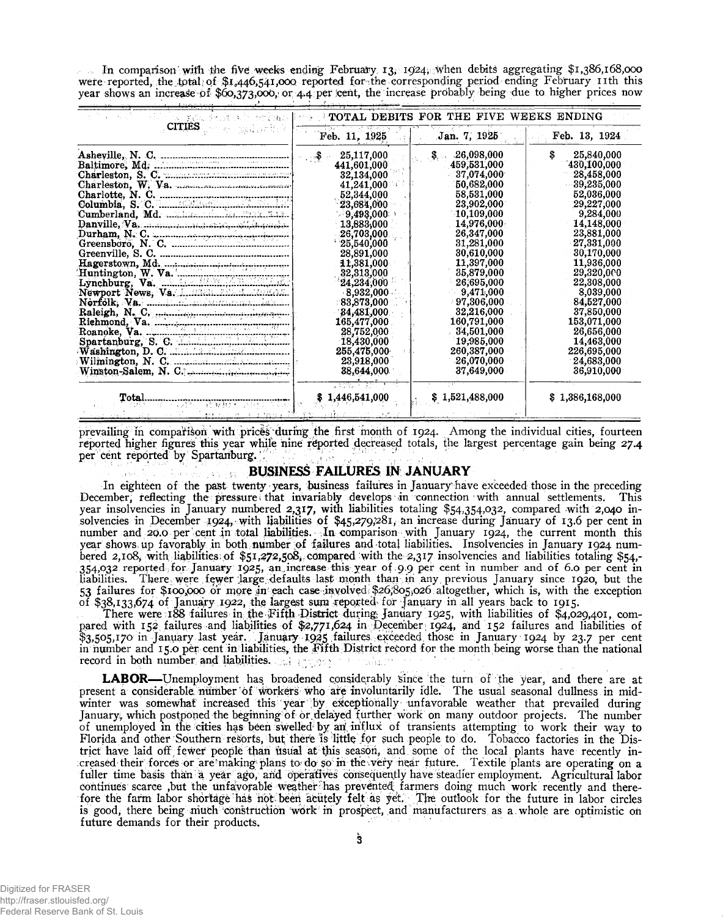In comparison with the five weeks ending February 13, 1924, when debits aggregating  $$1,386,168,000$ were reported, the total of \$1,446,541,000 reported for the corresponding period ending February 11th this

| instructors and security                                                                                    | <b>Control</b>                          | <b>POTAL DEBITS FOR THE FIVE WEEKS ENDING</b> |                  |
|-------------------------------------------------------------------------------------------------------------|-----------------------------------------|-----------------------------------------------|------------------|
| <b>CITIES</b><br>sal actor                                                                                  | Feb. 11, 1925                           | Jan. 7, 1925                                  | Feb. 13, 1924    |
|                                                                                                             | 25,117,000<br>$\mathcal{L}(\mathbf{S})$ | -26,098,000<br>\$. .                          | \$<br>25,840,000 |
|                                                                                                             | 441,601,000                             | 459,531,000                                   | 430,100,000      |
|                                                                                                             | 32,134,000                              | 37,074,000                                    | 28,458,000       |
| Charleston, W. Va. March March 1998.                                                                        | 41,241,000                              | 50,682,000                                    | 39,235,000       |
| Charlotte, N. C.                                                                                            | 52,344,000                              | 58,531,000                                    | 52,036,000       |
|                                                                                                             | 23,684,000                              | 23,902,000                                    | 29,227,000       |
|                                                                                                             | $-9,493,000$                            | 10.109.000                                    | 9,284,000        |
| Danville, Va, manuscript, enver abilitative                                                                 | 13,883,000                              | 14.976.000                                    | 14,148,000       |
| Durham, N. C.                                                                                               | 26,703,000                              | 26,347,000                                    | 23,881,000       |
|                                                                                                             | 125,540,000                             | 31,281,000                                    | 27,331,000       |
|                                                                                                             | 28,891,000                              | 30,610,000                                    | 30,170,000       |
| Hagerstown, Md.<br>Huntington, W. Va.<br>Lynchburg, Va.<br>Newport News, Va. 1.12241. 12241. 12242.         | 11,381,000                              | 11,397,000                                    | 11,936,000       |
|                                                                                                             | 32,313,000                              | 35,879,000                                    | 29,320,000       |
|                                                                                                             | 24,234,000                              | 26,695,000                                    | 22,308,000       |
|                                                                                                             | 8.932,000                               | 9,471,000                                     | 8,039,000        |
|                                                                                                             | $^{\circ}83.873.000$                    | 97.306,000                                    | 84,527,000       |
|                                                                                                             | 84,481,000                              | 32,216,000                                    | 37,850,000       |
|                                                                                                             | 165,477,000                             | 160,791,000                                   | 153,071,000      |
| Raleigh, N. C.<br>Riehmond, Va.<br>Riehmond, Va.<br>Roanoke, Va.<br>Spartanburg, S. C.<br>Washington, D. C. | 28,752,000                              | 34,501,000                                    | 26,656,000       |
|                                                                                                             | 18,430,000                              | 19,985,000                                    | 14,463,000       |
|                                                                                                             | 255,475,000                             | 260,387,000                                   | 226,695,000      |
|                                                                                                             | 23,918,000                              | 26,070,000                                    | 24,683,000       |
| $Winston-Salem, N. C.$                                                                                      | 38,644,000                              | 37,649,000                                    | 36,910,000       |
| Total                                                                                                       | 1,446,541,000                           | \$1,521,488,000                               | \$1,386,168,000  |

prevailing in comparison with prices during the first month of 1924. Among the individual cities, fourteen reported higher figures this year while nine reported decreased totals, the largest percentage gain being 27.4 per cent reported by Spartanburg.

#### **BUSINESS FAILURES IN JANUARY** Carpenter

In eighteen of the past twenty years, business failures in January have exceeded those in the preceding December, reflecting the pressure that invariably develops in connection with annual settlements. This year insolvencies in January numbered 2,317, with liabilities totaling \$54,354,032, compared with 2,040 insolvencies in December 1924, with liabilities of \$45,279,281, an increase during January of 13.6 per cent in number and 20.0 per cent in total liabilities. , In comparison with January 1924, the current month this year shows up favorably in both number of failures and total liabilities. Insolvencies in January 1924 numbered 2,108, with liabilities of \$51,272,508, compared with the 2,317 insolvencies and liabilities totaling \$54,-354,032 reported; for January 1925, an .inerease this year of 9.9 per cent in number and of 6.0 per cent in liabilities. There were fewer large defaults last month than in any previous January since 1920, but the<br>53 failures for \$100,000 or more in each case-involved; \$26,805,026 altogether, which is, with the exception of \$38,133,674 of January 1922, the largest sum reported for January in all years back to 1915.

There were 188 failures in the Fifth District during January 1925, with liabilities of \$4,029,401, compared with 152 failures and liabilities of \$2,771,624 *in* December 1924, and 152 failures and liabilities of \$3,505,170 in January last year. Januaty 19^5 failures exceeded those in January 1924 by 23.7 per cent in number and 15.0 per cent in liabilities, the Fifth District record for the month being worse than the national record in both number and liabilities. malar.

**LABOR**— Unemployment has broadened considerably since the turn of the year, and there are at present a considerable number of workers who are involuntarily idle. The usual seasonal dullness in midwinter was somewhat increased this year by exceptionally unfavorable weather that prevailed during January, which postponed the beginning of or delayed further work on many outdoor projects. The number of unemployed in the cities has been swelled" by ari, influx of transients attempting to work their way to Florida and other Southern resorts, but there is little for such people to do. Tobacco factories in the District have laid off fewer people than usual at this season, and some of the local plants have recently increased their forces or are making plans to do so in the very near future. Textile plants are operating on a fuller time basis than a year ago, and operatives consequently have steadier employment. Agricultural labor continues scarce ,but the unfavorable weather has prevented farmers doing much work recently and therefore the farm labor shortage has not been acutely felt as yet. The outlook for the future in labor circles is good, there being much construction work in prospect, and manufacturers as a whole are optimistic on future demands for their products.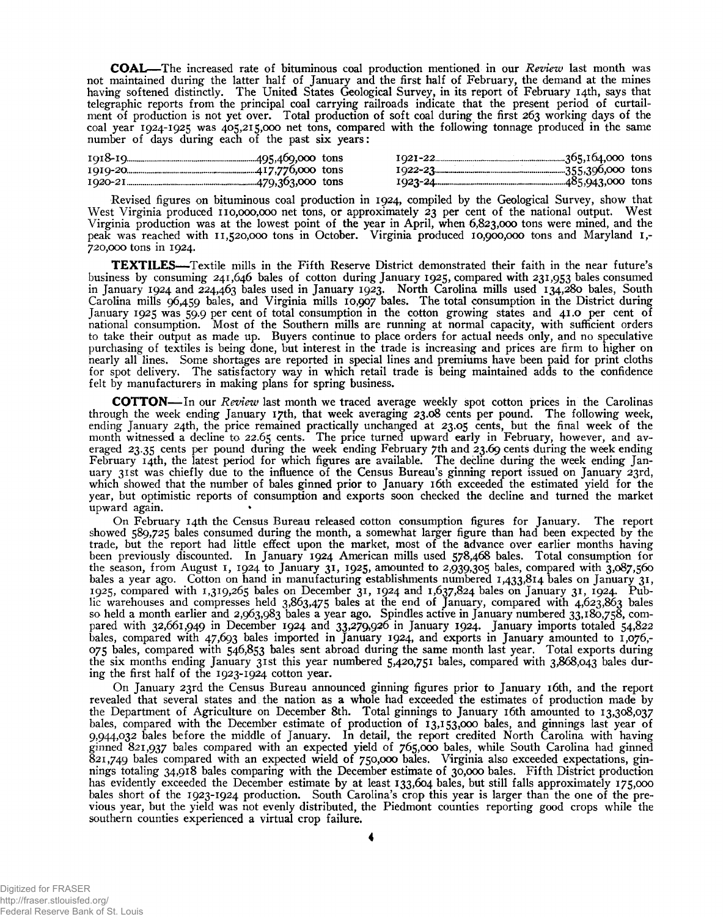**COAL**— The increased rate of bituminous coal production mentioned in our *Review* last month was not maintained during the latter half of January and the first half of February, the demand at the mines having softened distinctly. The United States Geological Survey, in its report of February 14th, says that telegraphic reports from the principal coal carrying railroads indicate that the present period of curtailment of production is not yet over. Total production of soft coal during the first 263 working days of the coal year 1924-1925 was 405,215,000 net tons, compared with the following tonnage produced in the same number of days during each of the past six years:

| 1020-21. |  |  |  |
|----------|--|--|--|

Revised figures on bituminous coal production in 1924, compiled by the Geological Survey, show that West Virginia produced 110,000,000 net tons, or approximately 23 per cent of the national output. West Virginia production was at the lowest point of the year in April, when 6,823,000 tons were mined, and the peak was reached with 11,520,000 tons in October. Virginia produced 10,900,000 tons and Maryland 1,-720,000 tons in 1924.

**TEXTILES**— Textile mills in the Fifth Reserve District demonstrated their faith in the near future's business by consuming 241,646 bales of cotton during January 1925, compared with 231,953 bales consumed in January 1924 and 224,463 bales used in January 1923. North Carolina mills used 134,280 bales, South Carolina mills 96,459 bales, and Virginia mills 10,907 bales. The total consumption in the District during January 1925 was 59.9 per cent of total consumption in the cotton growing states and 41.0 per cent of national consumption. Most of the Southern mills are running at normal capacity, with sufficient orders to take their output as made up. Buyers continue to place orders for actual needs only, and no speculative purchasing of textiles is being done, but interest in the trade is increasing and prices are firm to higher on nearly all lines. Some shortages are reported in special lines and premiums have been paid for print cloths for spot delivery. The satisfactory way in which retail trade is being maintained adds to the confidence felt by manufacturers in making plans for spring business.

**COTTON—** In our *Review* last month we traced average weekly spot cotton prices in the Carolinas through the week ending January 17th, that week averaging 23.08 cents per pound. The following week, ending January 24th, the price remained practically unchanged at 23.05 cents, but the final week of the month witnessed a decline to 22.65 cents. The price turned upward early in February, however, and averaged 23.35 cents per pound during the week ending February 7th and 23.69 cents during the week ending February 14th, the latest period for which figures are available. The decline during the week ending January 31st was chiefly due to the influence of the Census Bureau's ginning report issued on January 23rd, which showed that the number of bales ginned prior to January 16th exceeded the estimated yield for the year, but optimistic reports of consumption and exports soon checked the decline and turned the market upward again. •

On February 14th the Census Bureau released cotton consumption figures for January. The report showed 589,725 bales consumed during the month, a somewhat larger figure than had been expected by the trade, but the report had little effect upon the market, most of the advance over earlier months having been previously discounted. In January 1924 American mills used 578,468 bales. Total consumption for the season, from August 1, 1924 to January 31, 1925, amounted to 2,939,305 bales, compared with 3,087,560 bales a year ago. Cotton on hand in manufacturing establishments numbered 1,433,814 bales on January 31, 1925, compared with 1,319,265 bales on December 31, 1924 and 1,637,824 bales on January 31, 1924. Public warehouses and compresses held 3,863,475 bales at the end of January, compared with 4,623,863 bales so held a month earlier and 2,963,983 bales a year ago. Spindles active in January numbered 33,180,758, compared with 32,661,949 in December 1924 and 33,279,926 in January 1924. January imports totaled 54,822 bales, compared with 47,693 bales imported in January 1924, and exports in January amounted to 1,076,-075 bales, compared with 546,853 bales sent abroad during the same month last year. Total exports during the six months ending January 31st this year numbered 5,420,751 bales, compared with 3,868,043 bales during the first half of the 1923-1924 cotton year.

On January 23rd the Census Bureau announced ginning figures prior to January 16th, and the report revealed that several states and the nation as a whole had exceeded the estimates of production made by the Department of Agriculture on December 8th. Total ginnings to January 16th amounted to 13,308,037 bales, compared with the December estimate of production of 13,153,000 bales, and ginnings last year of 9,944,032 bales before the middle of January. In detail, the report credited North Carolina with having ginned 821,937 bales compared with an expected yield of 765,000 bales, while South Carolina had ginned 821,749 bales compared with an expected wield of 750,000 bales. Virginia also exceeded expectations, ginnings totaling 34,918 bales comparing with the December estimate of 30,000 bales. Fifth District production has evidently exceeded the December estimate by at least 133,604 bales, but still falls approximately 175,000 bales short of the 1923-1924 production. South Carolina's crop this year is larger than the one of the previous year, but the yield was not evenly distributed, the Piedmont counties reporting good crops while the southern counties experienced a virtual crop failure.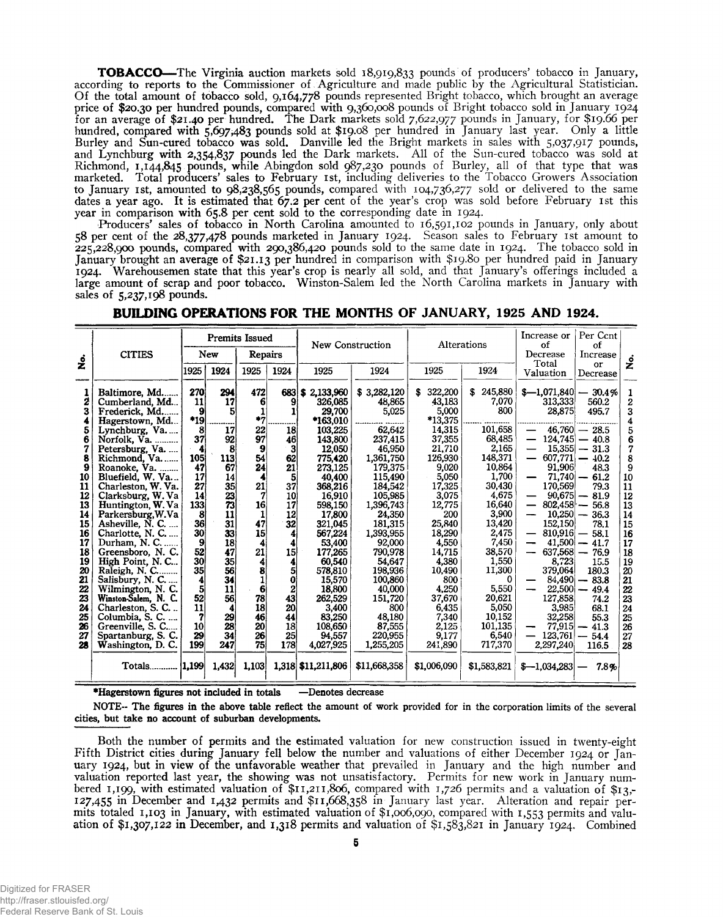**TOBACCO—**The Virginia auction markets sold 18,919,833 pounds of producers' tobacco in January, according to reports to the Commissioner of Agriculture and made public by the Agricultural Statistician. Of the total amount of tobacco sold, 9,164,778 pounds represented Bright tobacco, which brought an average price of \$20.30 per hundred pounds, compared with 9,360,008 pounds of Bright tobacco sold in January 1924 for an average of \$21.40 per hundred. The Dark markets sold 7,622,977 pounds in January, for \$19.66 per hundred, compared with 5,697,483 pounds sold at \$19.08 per hundred in January last year. Only a little Burley and Sun-cured tobacco was sold. Danville led the Bright markets in sales with 5,037,917 pounds, and Lynchburg with 2,354,837 pounds led the Dark markets. All of the Sun-cured tobacco was sold at Richmond, 1,144,845 pounds, while Abingdon sold 987,230 pounds of Burley, all of that type that was marketed. Total producers' sales to February 1st, including deliveries to the Tobacco Growers Association to January 1st, amounted to 98,238,565 pounds, compared with 104,736,277 sold or delivered to the same dates a year ago. It is estimated that 67.2 per cent of the year's crop was sold before February 1st this year in comparison with 65.8 per cent sold to the corresponding date in 1924.

Producers' sales of tobacco in North Carolina amounted to 16,591,102 pounds in January, only about 58 per cent of the 28,377,478 pounds marketed in January 1924. Season sales to February 1st amount to 225,228,900 pounds, compared with 290,386,420 pounds sold to the same date in 1924. The tobacco sold in January brought an average of \$21.13 Per hundred in comparison with \$19.80 per hundred paid in January 1924. Warehousemen state that this year's crop is nearly all sold, and that January's offerings included a large amount of scrap and poor tobacco. Winston-Salem led the North Carolina markets in January with sales of 5,237,198 pounds.

|                                                                                                                                    |                                                                                                                                                                                                                                                                                                                                                                                                                                                  | <b>Premits Issued</b>                                                                                                                            |                                                                                                                                               |                                                                                                                                            |                                                                                                                                            | New Construction                                                                                                                                                                                                                                      |                                                                                                                                                                                                                                                 |                                                                                                                                                                                                                          | Alterations                                                                                                                                                                                                  | Per Ccnt<br>Increase or<br>of<br>of                                                                                                                                                                                                                                                                                                        |                                                                                                                                                                                                                                                                           |                                                                                                                                                              |
|------------------------------------------------------------------------------------------------------------------------------------|--------------------------------------------------------------------------------------------------------------------------------------------------------------------------------------------------------------------------------------------------------------------------------------------------------------------------------------------------------------------------------------------------------------------------------------------------|--------------------------------------------------------------------------------------------------------------------------------------------------|-----------------------------------------------------------------------------------------------------------------------------------------------|--------------------------------------------------------------------------------------------------------------------------------------------|--------------------------------------------------------------------------------------------------------------------------------------------|-------------------------------------------------------------------------------------------------------------------------------------------------------------------------------------------------------------------------------------------------------|-------------------------------------------------------------------------------------------------------------------------------------------------------------------------------------------------------------------------------------------------|--------------------------------------------------------------------------------------------------------------------------------------------------------------------------------------------------------------------------|--------------------------------------------------------------------------------------------------------------------------------------------------------------------------------------------------------------|--------------------------------------------------------------------------------------------------------------------------------------------------------------------------------------------------------------------------------------------------------------------------------------------------------------------------------------------|---------------------------------------------------------------------------------------------------------------------------------------------------------------------------------------------------------------------------------------------------------------------------|--------------------------------------------------------------------------------------------------------------------------------------------------------------|
|                                                                                                                                    | <b>CITIES</b>                                                                                                                                                                                                                                                                                                                                                                                                                                    | New                                                                                                                                              |                                                                                                                                               | Repairs                                                                                                                                    |                                                                                                                                            |                                                                                                                                                                                                                                                       |                                                                                                                                                                                                                                                 |                                                                                                                                                                                                                          |                                                                                                                                                                                                              | Decrease                                                                                                                                                                                                                                                                                                                                   | Increase                                                                                                                                                                                                                                                                  |                                                                                                                                                              |
|                                                                                                                                    |                                                                                                                                                                                                                                                                                                                                                                                                                                                  | 1925                                                                                                                                             | 1924                                                                                                                                          | 1925                                                                                                                                       | 1924                                                                                                                                       | 1925                                                                                                                                                                                                                                                  | 1924                                                                                                                                                                                                                                            | 1925                                                                                                                                                                                                                     | 1924                                                                                                                                                                                                         | Valuation                                                                                                                                                                                                                                                                                                                                  | Decrease                                                                                                                                                                                                                                                                  |                                                                                                                                                              |
| .<br>Ž<br>1<br>2<br>3<br>5<br>6<br>7<br>8<br>9<br>10<br>11<br>12<br>13<br>14<br>15<br>16<br>17<br>18<br>19<br>20<br>21<br>22<br>23 | Baltimore, Md<br>Cumberland, Md<br>Frederick, Md<br>Hagerstown, Md<br>Lynchburg, Va<br>Norfolk, Va.<br>Petersburg, Va.<br>Richmond, Va<br>Roanoke, Va.<br>Bluefield, W. Va<br>Charleston, W. Va.<br>Clarksburg, W. Va<br>Huntington, W. Va<br>Parkersburg, W.Va<br>Asheville, N. C.<br>Charlotte, N. C<br>Durham, N. C<br>Greensboro, N. C.<br>High Point, N.C<br>Raleigh, N. C<br>Salisbury, N. C.<br>Wilmington, N. C.<br>Winston-Salem, N. C. | 270<br>11<br>9<br>*19<br>8<br>37<br>4<br>105<br>47<br>17<br>27<br>14<br>133<br>8<br>36<br>30 <sup>°</sup><br>9<br>52<br>30<br>35<br>4<br>5<br>52 | 294<br>17<br>5<br>17<br>92<br>8<br>113<br>67<br>14<br>35<br>23<br>73<br>11<br>31<br>33<br>18<br>47<br>35 <sub>l</sub><br>56<br>34<br>11<br>56 | 472<br>6<br>$^{\ast}7$<br>22<br>97<br>9<br>54<br>24<br>4<br>21<br>7<br>16<br>1<br>47<br>15<br>4<br>21<br>4<br>8<br>$\mathbf{1}$<br>6<br>78 | 683 S<br>1<br>18<br>46<br>3<br>62<br>21<br>5<br>37<br>10<br>17<br>12<br>32<br>4<br>4<br>15<br>4<br>5<br>$\bf{0}$<br>$\boldsymbol{2}$<br>43 | 2.133.960<br>326,085<br>29.700<br>$*163.010$<br>103,225<br>143,800<br>12.050<br>775,420<br>273.125<br>40.400<br>368,216<br>16.910<br>598.150<br>17,800<br>321,045<br>567,224<br>53,400<br>177,265<br>60.540<br>578,810<br>15,570<br>18,800<br>262,529 | \$3,282,120<br>48,865<br>5,025<br>62,642<br>237,415<br>46,950<br>1,361,750<br>179,375<br>115,490<br>184,542<br>105,985<br>1,396,743<br>24,350<br>181.315<br>1,393,955<br>92,000<br>790,978<br>54,647<br>198,936<br>100,860<br>40,000<br>151,720 | 322,200<br>43,183<br>5,000<br>*13,375<br>14,315<br>37,355<br>21,710<br>126,930<br>9,020<br>5,050<br>17,325<br>3,075<br>12,775<br>200<br>25,840<br>18,290<br>4,550<br>14,715<br>4,380<br>10,490<br>800<br>4.250<br>37,670 | \$245,880<br>7,070<br>800<br>101.658<br>68,485<br>2,165<br>148,371<br>10,864<br>1,700<br>30,430<br>4,675<br>16,640<br>3,900<br>13,420<br>2,475<br>7,450<br>38,570<br>1.550<br>11,300<br>0<br>5,550<br>20,621 | Total<br>$$-1,071,840$ $- 30.4\%$<br>313,333<br>28,875<br>—<br>$\overline{\phantom{0}}$<br>$\overline{\phantom{0}}$<br>91,906<br>$71,740 -$<br>—<br>170,569<br>$90,675$ –<br>—<br>$802,458$ –<br>$\overline{\phantom{0}}$<br>$10,250 -$<br>-<br>152,150<br>$\overline{\phantom{0}}$<br>-<br>—<br>8,723<br>379,064<br>$22,500 -$<br>127,858 | or<br>560.2<br>495.7<br>$46,760 - 28.5$<br>$124.745 - 40.8$<br>$15,355 - 31.3$<br>$607.771 - 40.2$<br>48.3<br>61.2<br>79.3<br>81.9<br>56.8<br>36.3<br>78.1<br>$810,916 - 58.1$<br>$41,500 - 41.7$<br>$637,568 - 76.9$<br>15.5<br>180.3<br>$84,490 - 83.8$<br>49.4<br>74.2 | ف<br>X<br>1<br>$\overline{2}$<br>3<br>4<br>5<br>6<br>7<br>$\dot{8}$<br>9<br>10<br>11<br>12<br>13<br>14<br>15<br>16<br>17<br>18<br>19<br>20<br>21<br>22<br>23 |
| 24<br>25                                                                                                                           | Charleston, S. C<br>Columbia, S. C.                                                                                                                                                                                                                                                                                                                                                                                                              | $\mathbf{11}$<br>7                                                                                                                               | 29                                                                                                                                            | 18<br>46                                                                                                                                   | 20<br>44                                                                                                                                   | 3,400<br>83,250                                                                                                                                                                                                                                       | 800<br>48.180                                                                                                                                                                                                                                   | 6,435<br>7,340                                                                                                                                                                                                           | 5,050<br>10.152                                                                                                                                                                                              | 3.985<br>32,258                                                                                                                                                                                                                                                                                                                            | 68.1<br>55.3                                                                                                                                                                                                                                                              | 24<br>25                                                                                                                                                     |
| 26<br>27<br>28                                                                                                                     | Greenville, S. C<br>Spartanburg, S. C.<br>Washington, D.C.                                                                                                                                                                                                                                                                                                                                                                                       | 10<br>29<br>199                                                                                                                                  | 28<br>34<br>247                                                                                                                               | 20<br>26<br>75                                                                                                                             | 18<br>25<br>178                                                                                                                            | 108,650<br>94.557<br>4,027,925                                                                                                                                                                                                                        | 87,555<br>220,955<br>1,255,205                                                                                                                                                                                                                  | 2,125<br>9.177<br>241,890                                                                                                                                                                                                | 101,135<br>6.540<br>717,370                                                                                                                                                                                  | 77,915<br>—<br>123,761<br>2,297,240                                                                                                                                                                                                                                                                                                        | 41.3<br>$-54.4$<br>116.5                                                                                                                                                                                                                                                  | 26<br>27<br>28                                                                                                                                               |
|                                                                                                                                    | Totals   1.199                                                                                                                                                                                                                                                                                                                                                                                                                                   |                                                                                                                                                  | 1.432                                                                                                                                         | 1,103                                                                                                                                      |                                                                                                                                            | 1,318 \$11,211,806                                                                                                                                                                                                                                    | \$11,668,358                                                                                                                                                                                                                                    | \$1,006,090                                                                                                                                                                                                              | \$1,583,821                                                                                                                                                                                                  | $$-1,034,283$                                                                                                                                                                                                                                                                                                                              | 7.8%                                                                                                                                                                                                                                                                      |                                                                                                                                                              |

## **BUILDING OPERATIONS FOR THE MONTHS OF JANUARY, 1925 AND 1924.**

**•Hagerstown figures not included in totals —Denotes decrease**

**NOTE- The figures in the above table reflect the amount of work provided for in the corporation limits of the several cities, but take no account of suburban developments.**

Both the number of permits and the estimated valuation for new construction issued in twenty-eight Fifth District cities during January fell below the number and valuations of either December 1924 or January 1924, but in view of the unfavorable weather that prevailed in January and the high number and valuation reported last year, the showing was not unsatisfactory. Permits for new work in January numbered 1,199, with estimated valuation of  $$11,211,806$ , compared with 1,726 permits and a valuation of  $$13,-$ 127,455 in December and 1,432 permits and \$11,668,358 in January last year. Alteration and repair permits totaled 1,103 in January, with estimated valuation of \$1,006,090, compared with 1,553 permits and valuation of \$1,307,122 in December, and 1,318 permits and valuation of \$1,583,821 in January 1924. Combined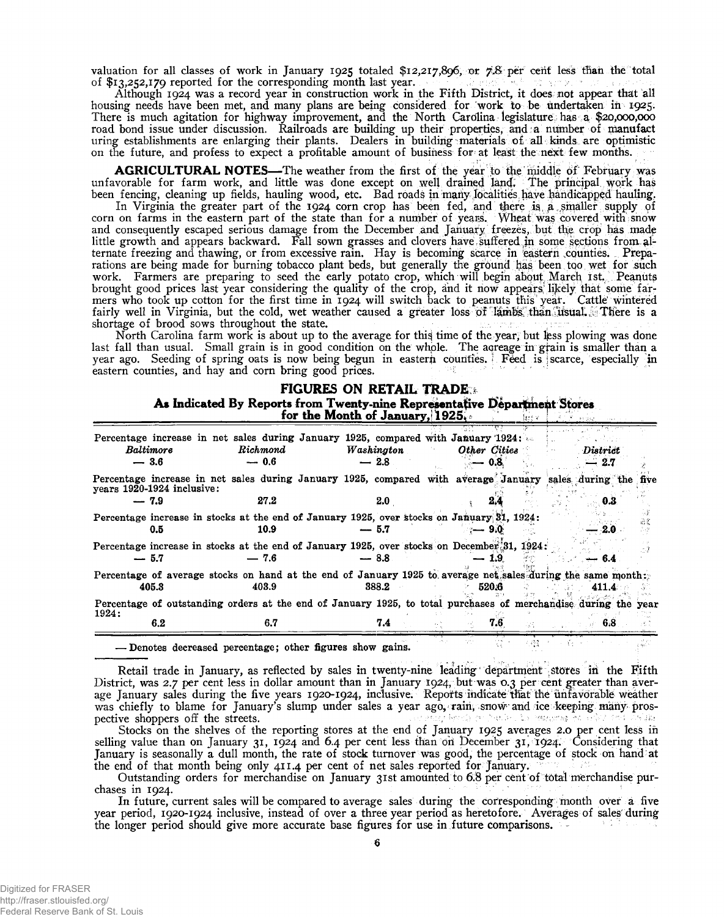valuation for all classes of work in January 1925 totaled \$12,217,896, or *7.8* per cent less than the total of \$13,252,179 reported for the corresponding month last year. of \$13,252,179 reported for the corresponding month last year.

Although 1924 was a record year in construction work in the Fifth District, it does not appear that all housing needs have been met, and many plans are being considered for work to be Undertaken in 1925; There is much agitation for highway improvement, and the North Carolina legislature has a \$20,000,000 road bond issue under discussion. Railroads are building up their properties, arid *a* number of manufact uring establishments are enlarging their plants. Dealers in building materials o£ all kinds are optimistic on the future, and profess to expect a profitable amount of business for at least the next few months.

**AGRICULTURAL NOTES**— The weather from the first of the year to the middle of February was unfavorable for farm work, and little was done except on well drained land. The principal work has been fencing, cleaning up fields, hauling wood, etc. Bad roads in many localities have handicapped hauling.

In Virginia the greater part of the 1924 corn crop has been fed, and there is a smaller supply of corn on farms in the eastern part of the state than for a number of years. Wheat was covered with snow and consequently escaped serious damage from the December and January freezes, but the crop has made little growth and appears backward. Fall sown grasses and clovers have. suffered in some Sections from alternate freezing and thawing, or from excessive rain. Hay is becoming scarce in eastern ,counties. Preparations are being made for burning tobacco plant beds, but generally the ground has been too wet for such work. Farmers are preparing to seed the early potato crop, which will begin about March 1st. Peanuts brought good prices last year considering the quality of the crop, and it now appears likely that some farmers who took up cotton for the first time in 1924 will switch back to peanuts this year. Cattle wintered fairly well in Virginia, but the cold, wet weather caused a greater loss of lambs than usual. There is a shortage of brood sows throughout the state.

North Carolina farm work is about up to the average for this time of the year, but less plowing was done last fall than usual. Small grain is in good condition on the whole. The acreage in grain is smaller than a year ago. Seeding of spring oats is now being begun in eastern counties. Feed is scarce, especially in eastern counties, and hay and corn bring good prices.

# **FIGURES ON RETAIL TRADE \* As Indicated By Reports from Twenty-nine Representative Department Stores**

|                            |                            | To make the nepote from a wenty-thic representance pepartical plotes<br>for the Month of January, $1925$ .           |                      |                                      |              | leit vo |                   |  |
|----------------------------|----------------------------|----------------------------------------------------------------------------------------------------------------------|----------------------|--------------------------------------|--------------|---------|-------------------|--|
| <b>Baltimore</b><br>$-3.6$ |                            | <b>Percentage increase in net sales during January 1925, compared with January 1924;</b><br>Richmond<br>$-0.6$       | Washington<br>$-2.8$ |                                      | Other Cities |         | District<br>- 2.7 |  |
| $-7.9$                     | years 1920-1924 inclusive: | Percentage increase in net sales during January 1925, compared with average January sales during the five<br>27.2    |                      |                                      |              |         |                   |  |
|                            | 0.5                        | Percentage increase in stocks at the end of January 1925, over stocks on January 81, 1924:<br>10.9                   | 2.0<br>$-5.7$        |                                      | 9.OF         |         | 0.3<br>$2.0$ .    |  |
| $-5.7$                     |                            | Percentage increase in stocks at the end of January 1925, over stocks on December 31, 1924:<br>$-7.6$                | $-8.8$               |                                      | — 1.9        |         | 6.4               |  |
| 405.3                      |                            | Percentage of average stocks on hand at the end of January 1925 to average net sales during the same month:<br>403.9 | 388.2                |                                      | 520.6        |         | 411.4             |  |
| 1924:                      |                            | Percentage of outstanding orders at the end of January 1925, to total purchases of merchandise during the year       |                      |                                      |              |         |                   |  |
|                            | 6.2                        | 6.7                                                                                                                  | 7.4                  |                                      | 7.6          |         | 6.8               |  |
|                            |                            | - Denotes decreased percentage; other figures show gains.                                                            |                      | $\mathcal{D}_1 \rightarrow$<br>ty by | $1.65 - 1.$  | 1,638   |                   |  |

Retail trade in January, as reflected by sales in twenty-nine leading department stores in the Fifth District, was 2.7 per cent less in dollar amount than in January 1924, but was 0.3 per cent greater than average January sales during the five years 1920-1924, inclusive. Reports indicate that the unfavorable weather was chiefly to blame for January's slump under sales a year ago, rain, snow and ice keeping many pros-<br>pective shoppers off the streets. pective shoppers off the streets.

Stocks on the shelves of the reporting stores at the end of January 1925 averages 2.0 per cent less in selling value than on January 31, 1924 and 6.4 per cent less than on December 31, 1924. Considering that January is seasonally a dull month, the rate of stock turnover was good, the percentage of stock on hand at the end of that month being only 411.4 per cent of net sales reported for January.

Outstanding orders for merchandise on January 31st amounted to 6.8 per cent of total merchandise purchases in 1924.

In future, current sales will be compared to average sales during the corresponding month over a five year period, 1920-1924 inclusive, instead of over a three year period as heretofore. Averages of sales during the longer period should give more accurate base figures for use in future comparisons. -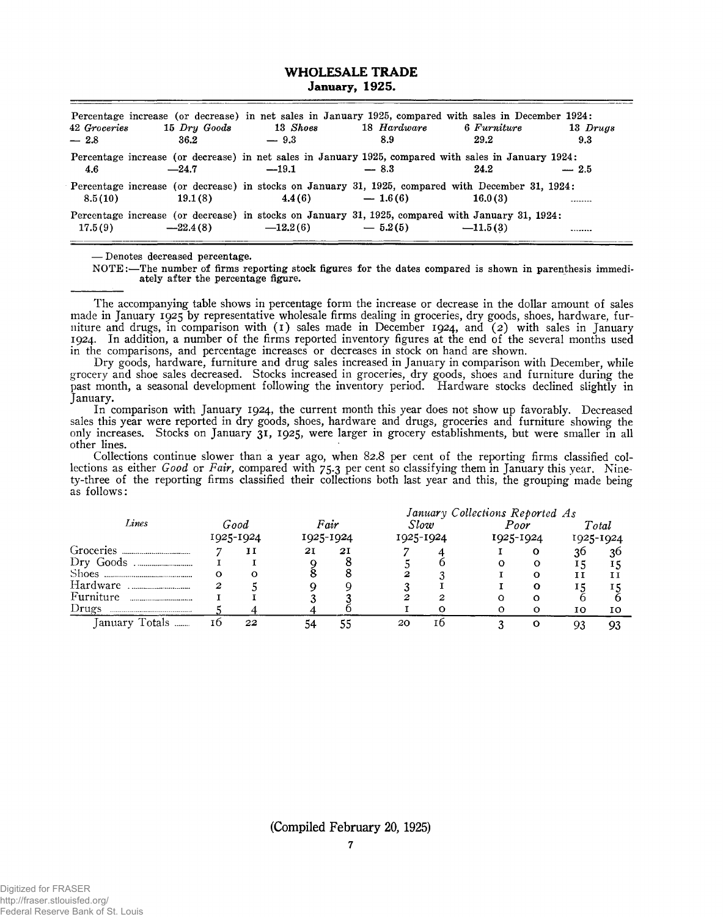### **WHOLESALE TRADE January, 1925.**

| 42 Groceries<br>$-2.8$ | 15 Dry Goods<br>36.2 | Percentage increase (or decrease) in net sales in January 1925, compared with sales in December 1924:<br>13 Shoes<br>$-9.3$ | 18 Hardware<br>8.9 | 6 Furniture<br>29.2 | 13 Drugs<br>9.3 |
|------------------------|----------------------|-----------------------------------------------------------------------------------------------------------------------------|--------------------|---------------------|-----------------|
| 4.6                    | $-24.7$              | Percentage increase (or decrease) in net sales in January 1925, compared with sales in January 1924:<br>$-19.1$             | $-8.3$             | 24.2                | $-2.5$          |
| 8.5(10)                | 19.1(8)              | Percentage increase (or decrease) in stocks on January 31, 1925, compared with December 31, 1924:<br>4.4(6)                 | $-1.6(6)$          | 16.0(3)             |                 |
| 17.5(9)                | $-22.4(8)$           | Percentage increase (or decrease) in stocks on January 31, 1925, compared with January 31, 1924:<br>$-12.2(6)$              | $-5.2(5)$          | $-11.5(3)$          |                 |

**— Denotes decreased percentage.**

**NOTE:—The number of firms reporting stock figures for the dates compared is shown in parenthesis immedi ately after the percentage figure.**

The accompanying table shows in percentage form the increase or decrease in the dollar amount of sales made in January 1925 by representative wholesale firms dealing in groceries, dry goods, shoes, hardware, furniture and drugs, in comparison with (1) sales made in December 1924, and (2) with sales in January 1924. In addition, a number of the firms reported inventory figures at the end of the several months used in the comparisons, and percentage increases or decreases in stock on hand are shown.

Dry goods, hardware, furniture and drug sales increased in January in comparison with December, while grocery and shoe sales decreased. Stocks increased in groceries, dry goods, shoes and furniture during the past month, a seasonal development following the inventory period. Hardware stocks declined slightly in January.

In comparison with January 1924, the current month this year does not show up favorably. Decreased sales this year were reported in dry goods, shoes, hardware and drugs, groceries and furniture showing the only increases. Stocks on January 31, 1925, were larger in grocery establishments, but were smaller in all other lines.

Collections continue slower than a year ago, when 82.8 per cent of the reporting firms classified collections as either *Good* or *Fair,* compared with 75.3 per cent so classifying them in January this year. Ninety-three of the reporting firms classified their collections both last year and this, the grouping made being as follows:

|                                                  |                   |    | January Collections Reported As |    |                   |    |                   |   |                    |    |  |  |
|--------------------------------------------------|-------------------|----|---------------------------------|----|-------------------|----|-------------------|---|--------------------|----|--|--|
| Lines                                            | Good<br>1925-1924 |    | Fair<br>1925-1924               |    | Slow<br>1925-1924 |    | Poor<br>1925-1924 |   | Total<br>1925-1924 |    |  |  |
|                                                  |                   |    |                                 |    |                   |    |                   |   |                    |    |  |  |
| Groceries<br>                                    |                   | 11 | 21                              | 2I |                   |    |                   | о | 30                 | 30 |  |  |
| Dry Goods                                        |                   |    |                                 |    |                   |    |                   |   |                    |    |  |  |
| <b>Shoes</b>                                     | ი                 | О  |                                 |    |                   |    |                   | Ω |                    |    |  |  |
| Hardware                                         |                   |    |                                 |    |                   |    |                   | Ω |                    | ΙS |  |  |
| Furniture<br>,,,,,,,,,,,,,,,,,,,,,,,,,,,,,,,,,,, |                   |    |                                 |    |                   |    |                   |   |                    |    |  |  |
| Drugs                                            |                   |    |                                 |    |                   |    |                   |   | 10                 | 10 |  |  |
| Totals<br>January                                | ΙO                | 22 |                                 |    | 20                | τn |                   |   |                    | 93 |  |  |